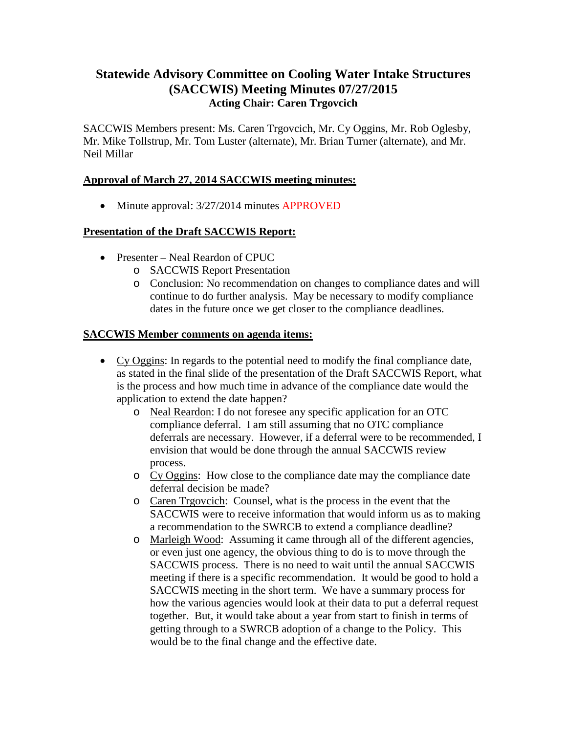# **Statewide Advisory Committee on Cooling Water Intake Structures (SACCWIS) Meeting Minutes 07/27/2015 Acting Chair: Caren Trgovcich**

SACCWIS Members present: Ms. Caren Trgovcich, Mr. Cy Oggins, Mr. Rob Oglesby, Mr. Mike Tollstrup, Mr. Tom Luster (alternate), Mr. Brian Turner (alternate), and Mr. Neil Millar

# **Approval of March 27, 2014 SACCWIS meeting minutes:**

• Minute approval:  $3/27/2014$  minutes APPROVED

## **Presentation of the Draft SACCWIS Report:**

- Presenter Neal Reardon of CPUC
	- o SACCWIS Report Presentation
	- o Conclusion: No recommendation on changes to compliance dates and will continue to do further analysis. May be necessary to modify compliance dates in the future once we get closer to the compliance deadlines.

## **SACCWIS Member comments on agenda items:**

- Cy Oggins: In regards to the potential need to modify the final compliance date, as stated in the final slide of the presentation of the Draft SACCWIS Report, what is the process and how much time in advance of the compliance date would the application to extend the date happen?
	- o Neal Reardon: I do not foresee any specific application for an OTC compliance deferral. I am still assuming that no OTC compliance deferrals are necessary. However, if a deferral were to be recommended, I envision that would be done through the annual SACCWIS review process.
	- o Cy Oggins: How close to the compliance date may the compliance date deferral decision be made?
	- o Caren Trgovcich: Counsel, what is the process in the event that the SACCWIS were to receive information that would inform us as to making a recommendation to the SWRCB to extend a compliance deadline?
	- o Marleigh Wood: Assuming it came through all of the different agencies, or even just one agency, the obvious thing to do is to move through the SACCWIS process. There is no need to wait until the annual SACCWIS meeting if there is a specific recommendation. It would be good to hold a SACCWIS meeting in the short term. We have a summary process for how the various agencies would look at their data to put a deferral request together. But, it would take about a year from start to finish in terms of getting through to a SWRCB adoption of a change to the Policy. This would be to the final change and the effective date.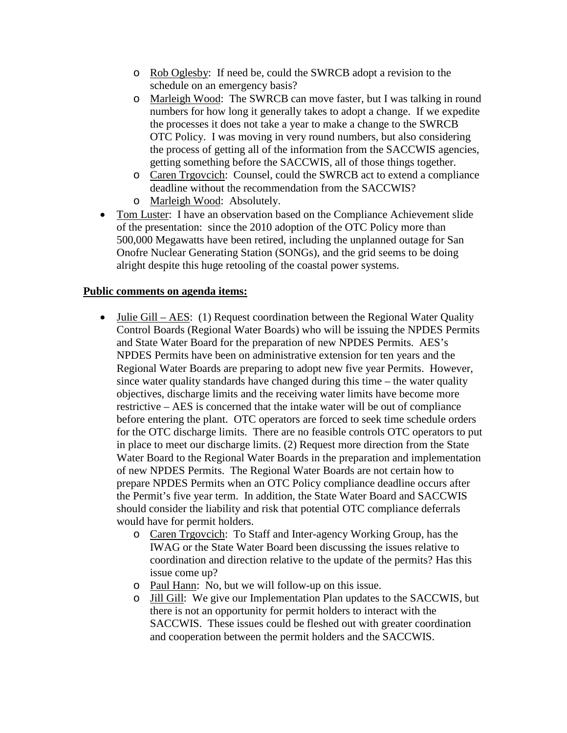- o Rob Oglesby: If need be, could the SWRCB adopt a revision to the schedule on an emergency basis?
- o Marleigh Wood: The SWRCB can move faster, but I was talking in round numbers for how long it generally takes to adopt a change. If we expedite the processes it does not take a year to make a change to the SWRCB OTC Policy. I was moving in very round numbers, but also considering the process of getting all of the information from the SACCWIS agencies, getting something before the SACCWIS, all of those things together.
- o Caren Trgovcich: Counsel, could the SWRCB act to extend a compliance deadline without the recommendation from the SACCWIS?
- o Marleigh Wood: Absolutely.
- Tom Luster: I have an observation based on the Compliance Achievement slide of the presentation: since the 2010 adoption of the OTC Policy more than 500,000 Megawatts have been retired, including the unplanned outage for San Onofre Nuclear Generating Station (SONGs), and the grid seems to be doing alright despite this huge retooling of the coastal power systems.

#### **Public comments on agenda items:**

- Julie Gill AES: (1) Request coordination between the Regional Water Ouality Control Boards (Regional Water Boards) who will be issuing the NPDES Permits and State Water Board for the preparation of new NPDES Permits. AES's NPDES Permits have been on administrative extension for ten years and the Regional Water Boards are preparing to adopt new five year Permits. However, since water quality standards have changed during this time – the water quality objectives, discharge limits and the receiving water limits have become more restrictive – AES is concerned that the intake water will be out of compliance before entering the plant. OTC operators are forced to seek time schedule orders for the OTC discharge limits. There are no feasible controls OTC operators to put in place to meet our discharge limits. (2) Request more direction from the State Water Board to the Regional Water Boards in the preparation and implementation of new NPDES Permits. The Regional Water Boards are not certain how to prepare NPDES Permits when an OTC Policy compliance deadline occurs after the Permit's five year term. In addition, the State Water Board and SACCWIS should consider the liability and risk that potential OTC compliance deferrals would have for permit holders.
	- o Caren Trgovcich: To Staff and Inter-agency Working Group, has the IWAG or the State Water Board been discussing the issues relative to coordination and direction relative to the update of the permits? Has this issue come up?
	- o Paul Hann: No, but we will follow-up on this issue.
	- o Jill Gill: We give our Implementation Plan updates to the SACCWIS, but there is not an opportunity for permit holders to interact with the SACCWIS. These issues could be fleshed out with greater coordination and cooperation between the permit holders and the SACCWIS.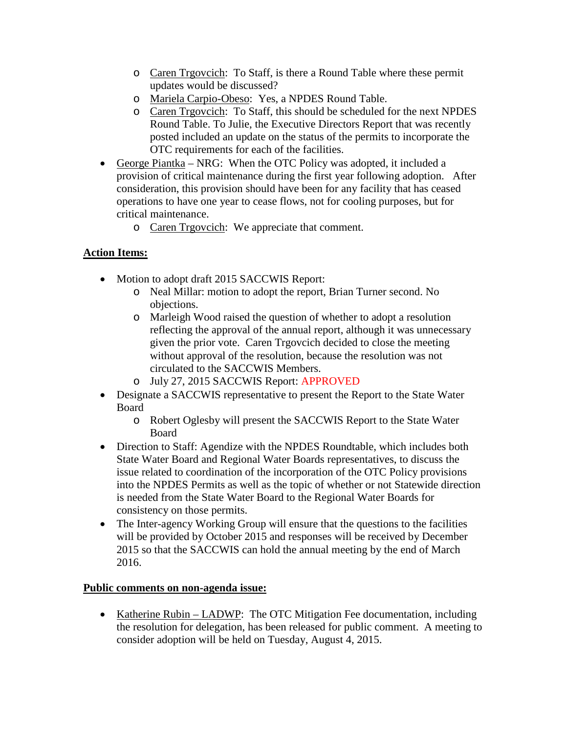- o Caren Trgovcich: To Staff, is there a Round Table where these permit updates would be discussed?
- o Mariela Carpio-Obeso: Yes, a NPDES Round Table.
- o Caren Trgovcich: To Staff, this should be scheduled for the next NPDES Round Table. To Julie, the Executive Directors Report that was recently posted included an update on the status of the permits to incorporate the OTC requirements for each of the facilities.
- George Piantka NRG: When the OTC Policy was adopted, it included a provision of critical maintenance during the first year following adoption. After consideration, this provision should have been for any facility that has ceased operations to have one year to cease flows, not for cooling purposes, but for critical maintenance.
	- o Caren Trgovcich: We appreciate that comment.

# **Action Items:**

- Motion to adopt draft 2015 SACCWIS Report:
	- o Neal Millar: motion to adopt the report, Brian Turner second. No objections.
	- o Marleigh Wood raised the question of whether to adopt a resolution reflecting the approval of the annual report, although it was unnecessary given the prior vote. Caren Trgovcich decided to close the meeting without approval of the resolution, because the resolution was not circulated to the SACCWIS Members.
	- o July 27, 2015 SACCWIS Report: APPROVED
- Designate a SACCWIS representative to present the Report to the State Water Board
	- o Robert Oglesby will present the SACCWIS Report to the State Water Board
- Direction to Staff: Agendize with the NPDES Roundtable, which includes both State Water Board and Regional Water Boards representatives, to discuss the issue related to coordination of the incorporation of the OTC Policy provisions into the NPDES Permits as well as the topic of whether or not Statewide direction is needed from the State Water Board to the Regional Water Boards for consistency on those permits.
- The Inter-agency Working Group will ensure that the questions to the facilities will be provided by October 2015 and responses will be received by December 2015 so that the SACCWIS can hold the annual meeting by the end of March 2016.

## **Public comments on non-agenda issue:**

• Katherine Rubin – LADWP: The OTC Mitigation Fee documentation, including the resolution for delegation, has been released for public comment. A meeting to consider adoption will be held on Tuesday, August 4, 2015.